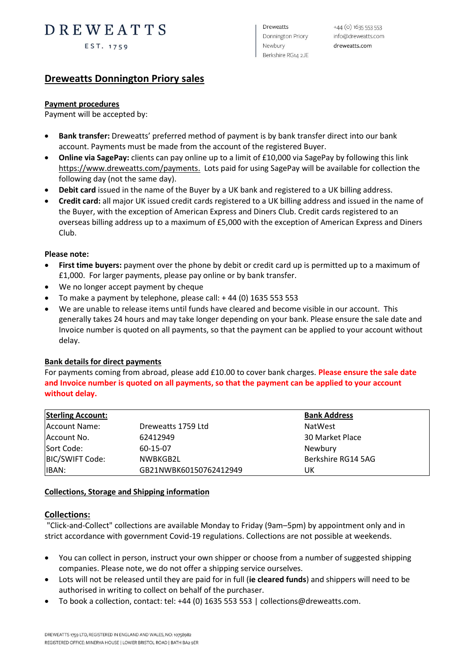# DREWEATTS

EST. 1759

**Dreweatts** Donnington Priory Newbury Berkshire RG14 2JE

 $+44$  (o)  $16355535353$ info@dreweatts.com dreweatts.com

### **Dreweatts Donnington Priory sales**

#### **Payment procedures**

Payment will be accepted by:

- **Bank transfer:** Dreweatts' preferred method of payment is by bank transfer direct into our bank account. Payments must be made from the account of the registered Buyer.
- **Online via SagePay:** clients can pay online up to a limit of £10,000 via SagePay by following this link [https://www.dreweatts.com/payments.](https://www.dreweatts.com/payments) Lots paid for using SagePay will be available for collection the following day (not the same day).
- **Debit card** issued in the name of the Buyer by a UK bank and registered to a UK billing address.
- **Credit card:** all major UK issued credit cards registered to a UK billing address and issued in the name of the Buyer, with the exception of American Express and Diners Club. Credit cards registered to an overseas billing address up to a maximum of £5,000 with the exception of American Express and Diners Club.

#### **Please note:**

- **First time buyers:** payment over the phone by debit or credit card up is permitted up to a maximum of £1,000. For larger payments, please pay online or by bank transfer.
- We no longer accept payment by cheque
- To make a payment by telephone, please call:  $+44$  (0) 1635 553 553
- We are unable to release items until funds have cleared and become visible in our account. This generally takes 24 hours and may take longer depending on your bank. Please ensure the sale date and Invoice number is quoted on all payments, so that the payment can be applied to your account without delay.

#### **Bank details for direct payments**

For payments coming from abroad, please add £10.00 to cover bank charges. **Please ensure the sale date and Invoice number is quoted on all payments, so that the payment can be applied to your account without delay.**

| <b>Sterling Account:</b> |                        | <b>Bank Address</b> |
|--------------------------|------------------------|---------------------|
| Account Name:            | Dreweatts 1759 Ltd     | <b>NatWest</b>      |
| Account No.              | 62412949               | 30 Market Place     |
| Sort Code:               | 60-15-07               | Newbury             |
| BIC/SWIFT Code:          | NWBKGB2L               | Berkshire RG14 5AG  |
| IBAN:                    | GB21NWBK60150762412949 | UK                  |

#### **Collections, Storage and Shipping information**

#### **Collections:**

"Click-and-Collect" collections are available Monday to Friday (9am–5pm) by appointment only and in strict accordance with government Covid-19 regulations. Collections are not possible at weekends.

- You can collect in person, instruct your own shipper or choose from a number of suggested shipping companies. Please note, we do not offer a shipping service ourselves.
- Lots will not be released until they are paid for in full (**ie cleared funds**) and shippers will need to be authorised in writing to collect on behalf of the purchaser.
- To book a collection, contact: tel: +44 (0) 1635 553 553 | collections@dreweatts.com.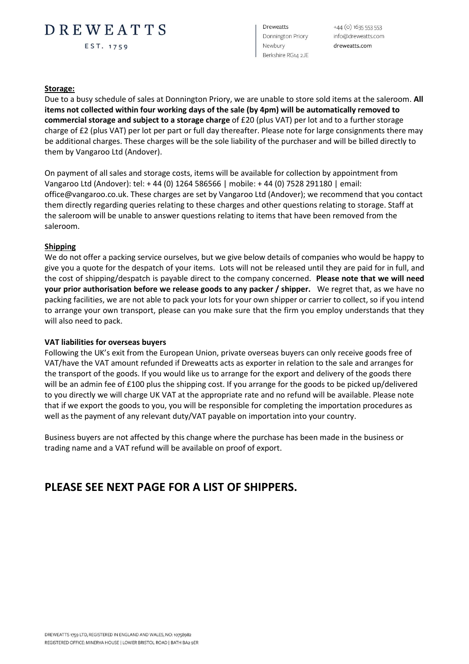## DREWEATTS

EST. 1759

**Dreweatts** Donnington Priory Newbury Berkshire RG14 2JE

+44 (0) 1635 553 553 info@dreweatts.com dreweatts.com

#### **Storage:**

Due to a busy schedule of sales at Donnington Priory, we are unable to store sold items at the saleroom. **All items not collected within four working days of the sale (by 4pm) will be automatically removed to commercial storage and subject to a storage charge** of £20 (plus VAT) per lot and to a further storage charge of £2 (plus VAT) per lot per part or full day thereafter. Please note for large consignments there may be additional charges. These charges will be the sole liability of the purchaser and will be billed directly to them by Vangaroo Ltd (Andover).

On payment of all sales and storage costs, items will be available for collection by appointment from Vangaroo Ltd (Andover): tel: + 44 (0) 1264 586566 | mobile: + 44 (0) 7528 291180 | email: office@vangaroo.co.uk. These charges are set by Vangaroo Ltd (Andover); we recommend that you contact them directly regarding queries relating to these charges and other questions relating to storage. Staff at the saleroom will be unable to answer questions relating to items that have been removed from the saleroom.

#### **Shipping**

We do not offer a packing service ourselves, but we give below details of companies who would be happy to give you a quote for the despatch of your items. Lots will not be released until they are paid for in full, and the cost of shipping/despatch is payable direct to the company concerned. **Please note that we will need your prior authorisation before we release goods to any packer / shipper.** We regret that, as we have no packing facilities, we are not able to pack your lots for your own shipper or carrier to collect, so if you intend to arrange your own transport, please can you make sure that the firm you employ understands that they will also need to pack.

#### **VAT liabilities for overseas buyers**

Following the UK's exit from the European Union, private overseas buyers can only receive goods free of VAT/have the VAT amount refunded if Dreweatts acts as exporter in relation to the sale and arranges for the transport of the goods. If you would like us to arrange for the export and delivery of the goods there will be an admin fee of £100 plus the shipping cost. If you arrange for the goods to be picked up/delivered to you directly we will charge UK VAT at the appropriate rate and no refund will be available. Please note that if we export the goods to you, you will be responsible for completing the importation procedures as well as the payment of any relevant duty/VAT payable on importation into your country.

Business buyers are not affected by this change where the purchase has been made in the business or trading name and a VAT refund will be available on proof of export.

### **PLEASE SEE NEXT PAGE FOR A LIST OF SHIPPERS.**